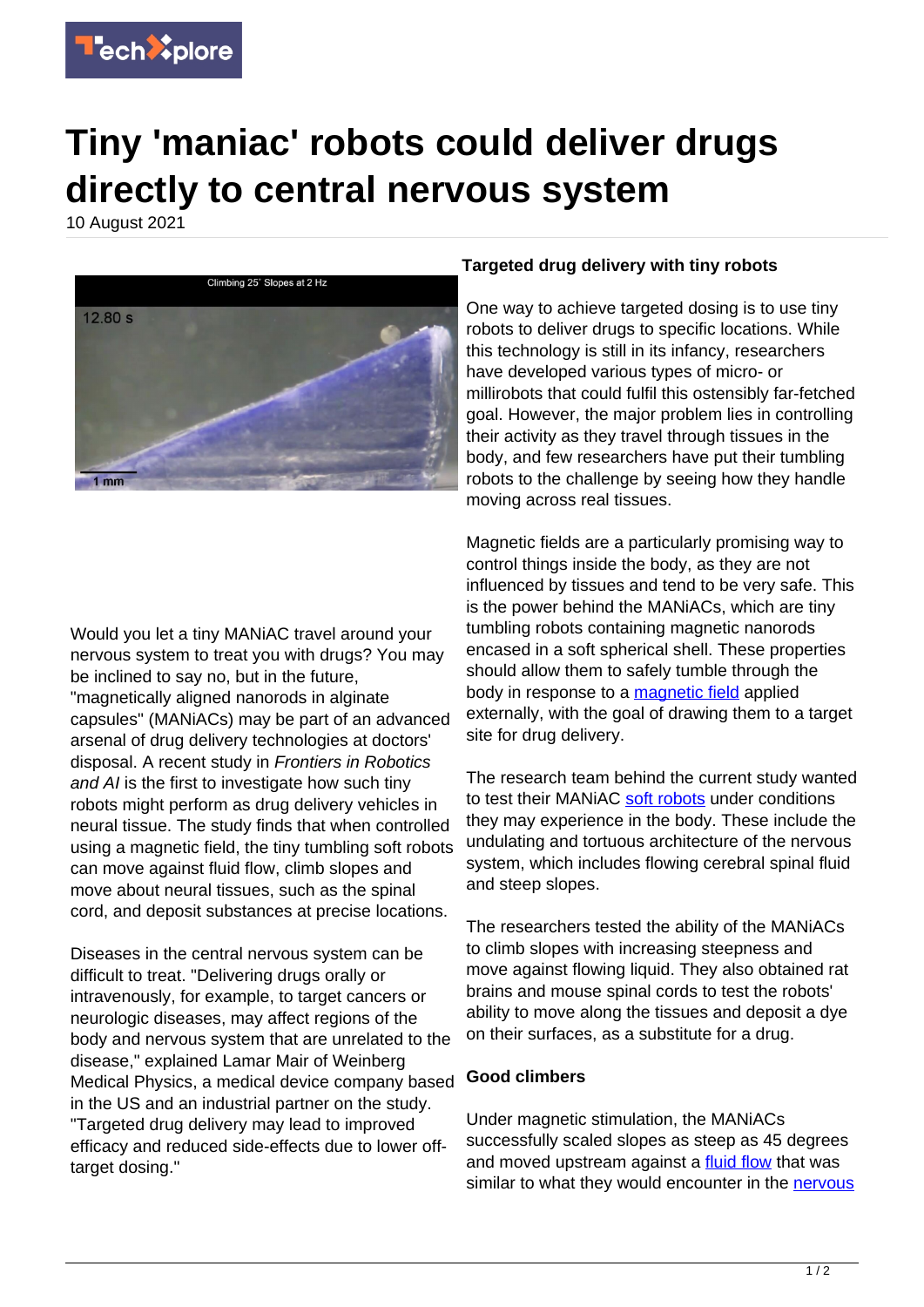

## **Tiny 'maniac' robots could deliver drugs directly to central nervous system**

10 August 2021



Would you let a tiny MANiAC travel around your nervous system to treat you with drugs? You may be inclined to say no, but in the future, "magnetically aligned nanorods in alginate capsules" (MANiACs) may be part of an advanced arsenal of drug delivery technologies at doctors' disposal. A recent study in Frontiers in Robotics and AI is the first to investigate how such tiny robots might perform as drug delivery vehicles in neural tissue. The study finds that when controlled using a magnetic field, the tiny tumbling soft robots can move against fluid flow, climb slopes and move about neural tissues, such as the spinal cord, and deposit substances at precise locations.

Diseases in the central nervous system can be difficult to treat. "Delivering drugs orally or intravenously, for example, to target cancers or neurologic diseases, may affect regions of the body and nervous system that are unrelated to the disease," explained Lamar Mair of Weinberg Medical Physics, a medical device company based in the US and an industrial partner on the study. "Targeted drug delivery may lead to improved efficacy and reduced side-effects due to lower offtarget dosing."

## **Targeted drug delivery with tiny robots**

One way to achieve targeted dosing is to use tiny robots to deliver drugs to specific locations. While this technology is still in its infancy, researchers have developed various types of micro- or millirobots that could fulfil this ostensibly far-fetched goal. However, the major problem lies in controlling their activity as they travel through tissues in the body, and few researchers have put their tumbling robots to the challenge by seeing how they handle moving across real tissues.

Magnetic fields are a particularly promising way to control things inside the body, as they are not influenced by tissues and tend to be very safe. This is the power behind the MANiACs, which are tiny tumbling robots containing magnetic nanorods encased in a soft spherical shell. These properties should allow them to safely tumble through the body in response to a [magnetic field](https://techxplore.com/tags/magnetic+field/) applied externally, with the goal of drawing them to a target site for drug delivery.

The research team behind the current study wanted to test their MANiAC [soft robots](https://techxplore.com/tags/soft+robots/) under conditions they may experience in the body. These include the undulating and tortuous architecture of the nervous system, which includes flowing cerebral spinal fluid and steep slopes.

The researchers tested the ability of the MANiACs to climb slopes with increasing steepness and move against flowing liquid. They also obtained rat brains and mouse spinal cords to test the robots' ability to move along the tissues and deposit a dye on their surfaces, as a substitute for a drug.

## **Good climbers**

Under magnetic stimulation, the MANiACs successfully scaled slopes as steep as 45 degrees and moved upstream against a **[fluid flow](https://techxplore.com/tags/fluid+flow/)** that was similar to what they would encounter in the [nervous](https://techxplore.com/tags/nervous+system/)